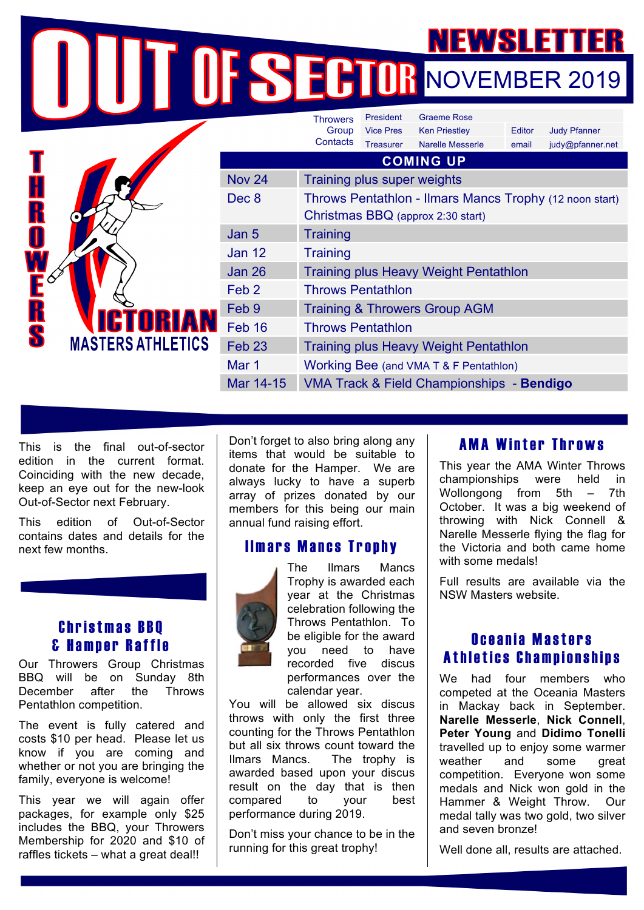# **NOVEMBER 2019**

|   |                                             |                   | <b>Throwers</b>                                         | <b>Graeme Rose</b><br>President |                         |        |                     |  |
|---|---------------------------------------------|-------------------|---------------------------------------------------------|---------------------------------|-------------------------|--------|---------------------|--|
|   |                                             |                   | Group                                                   | <b>Vice Pres</b>                | <b>Ken Priestley</b>    | Editor | <b>Judy Pfanner</b> |  |
|   | <b>ICTORIAN</b><br><b>MASTERS ATHLETICS</b> |                   | Contacts                                                | <b>Treasurer</b>                | <b>Narelle Messerle</b> | email  | judy@pfanner.net    |  |
|   |                                             | <b>COMING UP</b>  |                                                         |                                 |                         |        |                     |  |
|   |                                             | <b>Nov 24</b>     | Training plus super weights                             |                                 |                         |        |                     |  |
|   |                                             | Dec 8             | Throws Pentathlon - Ilmars Mancs Trophy (12 noon start) |                                 |                         |        |                     |  |
|   |                                             |                   | Christmas BBQ (approx 2:30 start)                       |                                 |                         |        |                     |  |
|   |                                             | Jan 5             | <b>Training</b>                                         |                                 |                         |        |                     |  |
|   |                                             | <b>Jan 12</b>     | <b>Training</b>                                         |                                 |                         |        |                     |  |
|   |                                             | <b>Jan 26</b>     | <b>Training plus Heavy Weight Pentathlon</b>            |                                 |                         |        |                     |  |
|   |                                             | Feb <sub>2</sub>  | <b>Throws Pentathlon</b>                                |                                 |                         |        |                     |  |
| R |                                             | Feb 9             | <b>Training &amp; Throwers Group AGM</b>                |                                 |                         |        |                     |  |
|   |                                             | Feb 16            | <b>Throws Pentathlon</b>                                |                                 |                         |        |                     |  |
|   |                                             | Feb <sub>23</sub> | <b>Training plus Heavy Weight Pentathlon</b>            |                                 |                         |        |                     |  |
|   |                                             | Mar 1             | Working Bee (and VMA T & F Pentathlon)                  |                                 |                         |        |                     |  |
|   |                                             | Mar 14-15         | VMA Track & Field Championships - Bendigo               |                                 |                         |        |                     |  |
|   |                                             |                   |                                                         |                                 |                         |        |                     |  |

This is the final out-of-sector edition in the current format. Coinciding with the new decade, keep an eye out for the new-look Out-of-Sector next February.

This edition of Out-of-Sector contains dates and details for the next few months.

### Christmas BBQ & Hamper Raffle

Our Throwers Group Christmas BBQ will be on Sunday 8th December after the Throws Pentathlon competition.

The event is fully catered and costs \$10 per head. Please let us know if you are coming and whether or not you are bringing the family, everyone is welcome!

This year we will again offer packages, for example only \$25 includes the BBQ, your Throwers Membership for 2020 and \$10 of raffles tickets – what a great deal!!

Don't forget to also bring along any items that would be suitable to donate for the Hamper. We are always lucky to have a superb array of prizes donated by our members for this being our main annual fund raising effort.

# Ilmars Mancs Trophy



The Ilmars Mancs Trophy is awarded each year at the Christmas celebration following the Throws Pentathlon. To be eligible for the award you need to have recorded five discus performances over the calendar year.

You will be allowed six discus throws with only the first three counting for the Throws Pentathlon but all six throws count toward the Ilmars Mancs. The trophy is awarded based upon your discus result on the day that is then compared to your best performance during 2019.

Don't miss your chance to be in the running for this great trophy!

# AMA Winter Throws

This year the AMA Winter Throws championships were held in Wollongong from 5th – 7th October. It was a big weekend of throwing with Nick Connell & Narelle Messerle flying the flag for the Victoria and both came home with some medals!

Full results are available via the NSW Masters website.

# Oceania Masters Athletics Championships

We had four members who competed at the Oceania Masters in Mackay back in September. **Narelle Messerle**, **Nick Connell**, **Peter Young** and **Didimo Tonelli** travelled up to enjoy some warmer weather and some great competition. Everyone won some medals and Nick won gold in the Hammer & Weight Throw. Our medal tally was two gold, two silver and seven bronze!

Well done all, results are attached.